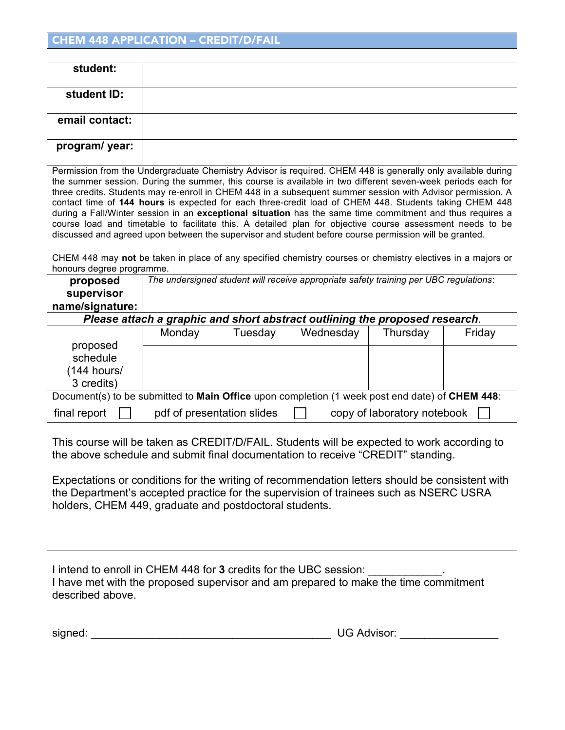| student:                                                                                                                                                                                                                                                                                                                                                                                                                                                                                                                                                                                                                                                                                                                                                                                                                                                                                                                                                                                                                       |                            |         |                                                                             |                             |        |  |  |  |
|--------------------------------------------------------------------------------------------------------------------------------------------------------------------------------------------------------------------------------------------------------------------------------------------------------------------------------------------------------------------------------------------------------------------------------------------------------------------------------------------------------------------------------------------------------------------------------------------------------------------------------------------------------------------------------------------------------------------------------------------------------------------------------------------------------------------------------------------------------------------------------------------------------------------------------------------------------------------------------------------------------------------------------|----------------------------|---------|-----------------------------------------------------------------------------|-----------------------------|--------|--|--|--|
| student ID:                                                                                                                                                                                                                                                                                                                                                                                                                                                                                                                                                                                                                                                                                                                                                                                                                                                                                                                                                                                                                    |                            |         |                                                                             |                             |        |  |  |  |
| email contact:                                                                                                                                                                                                                                                                                                                                                                                                                                                                                                                                                                                                                                                                                                                                                                                                                                                                                                                                                                                                                 |                            |         |                                                                             |                             |        |  |  |  |
| program/ year:                                                                                                                                                                                                                                                                                                                                                                                                                                                                                                                                                                                                                                                                                                                                                                                                                                                                                                                                                                                                                 |                            |         |                                                                             |                             |        |  |  |  |
| Permission from the Undergraduate Chemistry Advisor is required. CHEM 448 is generally only available during<br>the summer session. During the summer, this course is available in two different seven-week periods each for<br>three credits. Students may re-enroll in CHEM 448 in a subsequent summer session with Advisor permission. A<br>contact time of 144 hours is expected for each three-credit load of CHEM 448. Students taking CHEM 448<br>during a Fall/Winter session in an exceptional situation has the same time commitment and thus requires a<br>course load and timetable to facilitate this. A detailed plan for objective course assessment needs to be<br>discussed and agreed upon between the supervisor and student before course permission will be granted.<br>CHEM 448 may not be taken in place of any specified chemistry courses or chemistry electives in a majors or<br>honours degree programme.<br>The undersigned student will receive appropriate safety training per UBC regulations: |                            |         |                                                                             |                             |        |  |  |  |
| proposed<br>supervisor<br>name/signature:                                                                                                                                                                                                                                                                                                                                                                                                                                                                                                                                                                                                                                                                                                                                                                                                                                                                                                                                                                                      |                            |         |                                                                             |                             |        |  |  |  |
|                                                                                                                                                                                                                                                                                                                                                                                                                                                                                                                                                                                                                                                                                                                                                                                                                                                                                                                                                                                                                                |                            |         | Please attach a graphic and short abstract outlining the proposed research. |                             |        |  |  |  |
| proposed<br>schedule<br>$(144$ hours/<br>3 credits)                                                                                                                                                                                                                                                                                                                                                                                                                                                                                                                                                                                                                                                                                                                                                                                                                                                                                                                                                                            | Monday                     | Tuesday | Wednesday                                                                   | Thursday                    | Friday |  |  |  |
| Document(s) to be submitted to Main Office upon completion (1 week post end date) of CHEM 448:                                                                                                                                                                                                                                                                                                                                                                                                                                                                                                                                                                                                                                                                                                                                                                                                                                                                                                                                 |                            |         |                                                                             |                             |        |  |  |  |
| final report                                                                                                                                                                                                                                                                                                                                                                                                                                                                                                                                                                                                                                                                                                                                                                                                                                                                                                                                                                                                                   | pdf of presentation slides |         |                                                                             | copy of laboratory notebook |        |  |  |  |
| This course will be taken as CREDIT/D/FAIL. Students will be expected to work according to<br>the above schedule and submit final documentation to receive "CREDIT" standing.<br>Expectations or conditions for the writing of recommendation letters should be consistent with<br>the Department's accepted practice for the supervision of trainees such as NSERC USRA<br>holders, CHEM 449, graduate and postdoctoral students.                                                                                                                                                                                                                                                                                                                                                                                                                                                                                                                                                                                             |                            |         |                                                                             |                             |        |  |  |  |

I intend to enroll in CHEM 448 for **3** credits for the UBC session: \_\_\_\_\_\_\_\_\_\_\_\_. I have met with the proposed supervisor and am prepared to make the time commitment described above.

signed: \_\_\_\_\_\_\_\_\_\_\_\_\_\_\_\_\_\_\_\_\_\_\_\_\_\_\_\_\_\_\_\_\_\_\_\_\_\_\_ UG Advisor: \_\_\_\_\_\_\_\_\_\_\_\_\_\_\_\_

| <b>UG Advisor:</b> |  |
|--------------------|--|
|                    |  |